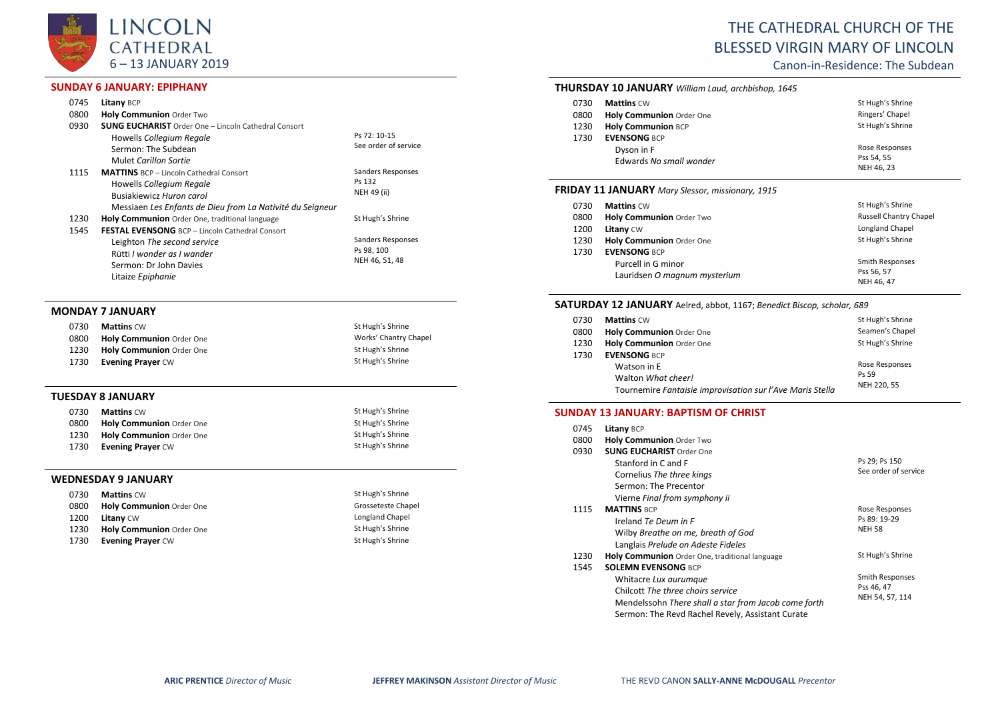

## **SUNDAY 6 JANUARY: EPIPHANY**

| 0745         | Litany BCP                                                                                                                                                          |                                                   |
|--------------|---------------------------------------------------------------------------------------------------------------------------------------------------------------------|---------------------------------------------------|
| 0800         | Holy Communion Order Two                                                                                                                                            |                                                   |
| 0930         | <b>SUNG EUCHARIST</b> Order One - Lincoln Cathedral Consort<br>Howells Collegium Regale<br>Sermon: The Subdean<br>Mulet Carillon Sortie                             | Ps 72: 10-15<br>See order of service              |
| 1115         | <b>MATTINS</b> BCP - Lincoln Cathedral Consort<br>Howells Collegium Regale<br>Busiakiewicz Huron carol<br>Messiaen Les Enfants de Dieu from La Nativité du Seigneur | Sanders Responses<br>Ps 132<br>NEH 49 (ii)        |
| 1230<br>1545 | Holy Communion Order One, traditional language<br><b>FESTAL EVENSONG</b> BCP - Lincoln Cathedral Consort                                                            | St Hugh's Shrine                                  |
|              | Leighton The second service<br>Rütti I wonder as I wander<br>Sermon: Dr John Davies<br>Litaize Epiphanie                                                            | Sanders Responses<br>Ps 98, 100<br>NEH 46, 51, 48 |

#### **MONDAY 7 JANUARY**

| 0730 | <b>Mattins CW</b>               | St Hugh's Shrine      |
|------|---------------------------------|-----------------------|
| 0800 | Holy Communion Order One        | Works' Chantry Chapel |
| 1230 | <b>Holy Communion</b> Order One | St Hugh's Shrine      |
| 1730 | <b>Evening Prayer CW</b>        | St Hugh's Shrine      |

#### **TUESDAY 8 JANUARY**

| 0730 | <b>Mattins CW</b>        | St Hugh's Shrine |
|------|--------------------------|------------------|
| 0800 | Holy Communion Order One | St Hugh's Shrine |
| 1230 | Holy Communion Order One | St Hugh's Shrine |
| 1730 | <b>Evening Prayer CW</b> | St Hugh's Shrine |

#### **WEDNESDAY 9 JANUARY**

| 0730 | <b>Mattins CW</b>               | St Hugh's Shrine   |
|------|---------------------------------|--------------------|
| 0800 | <b>Holy Communion Order One</b> | Grosseteste Chapel |
| 1200 | <b>Litany CW</b>                | Longland Chapel    |
| 1230 | <b>Holy Communion Order One</b> | St Hugh's Shrine   |
| 1730 | <b>Evening Prayer CW</b>        | St Hugh's Shrine   |

# THE CATHEDRAL CHURCH OF THE BLESSED VIRGIN MARY OF LINCOLN

Canon-in-Residence: The Subdean

### **THURSDAY 10 JANUARY** *William Laud, archbishop, 1645*

| 0730 | <b>Mattins CW</b>         | St Hugh's Shrine |
|------|---------------------------|------------------|
| 0800 | Holy Communion Order One  | Ringers' Chapel  |
| 1230 | <b>Holy Communion BCP</b> | St Hugh's Shrine |
| 1730 | <b>EVENSONG BCP</b>       |                  |
|      | Dyson in F                | Rose Responses   |
|      | Edwards No small wonder   | Pss 54, 55       |
|      |                           | NEH 46, 23       |

## **FRIDAY 11 JANUARY** *Mary Slessor, missionary, 1915*

| 0730 | <b>Mattins CW</b>               | St Hugh's Shrine              |
|------|---------------------------------|-------------------------------|
| 0800 | <b>Holy Communion Order Two</b> | <b>Russell Chantry Chapel</b> |
| 1200 | <b>Litany CW</b>                | Longland Chapel               |
| 1230 | Holy Communion Order One        | St Hugh's Shrine              |
| 1730 | <b>EVENSONG BCP</b>             |                               |
|      | Purcell in G minor              | Smith Responses               |
|      | Lauridsen O magnum mysterium    | Pss 56, 57                    |
|      |                                 | NEH 46, 47                    |

#### **SATURDAY 12 JANUARY** Aelred, abbot, 1167; *Benedict Biscop, scholar, 689*

| 0730 | <b>Mattins CW</b>                                         | St Hugh's Shrine |
|------|-----------------------------------------------------------|------------------|
| 0800 | Holy Communion Order One                                  | Seamen's Chapel  |
| 1230 | Holy Communion Order One                                  | St Hugh's Shrine |
| 1730 | <b>EVENSONG BCP</b>                                       |                  |
|      | Watson in E                                               | Rose Responses   |
|      | Walton What cheer!                                        | Ps 59            |
|      | Tournemire Fantaisie improvisation sur l'Ave Maris Stella | NEH 220, 55      |

### **SUNDAY 13 JANUARY: BAPTISM OF CHRIST**

| 0745 | <b>Litany BCP</b>                                    |                      |
|------|------------------------------------------------------|----------------------|
| 0800 | <b>Holy Communion Order Two</b>                      |                      |
| 0930 | <b>SUNG EUCHARIST Order One</b>                      |                      |
|      | Stanford in C and F                                  | Ps 29; Ps 150        |
|      | Cornelius The three kings                            | See order of service |
|      | Sermon: The Precentor                                |                      |
|      | Vierne Final from symphony ii                        |                      |
| 1115 | <b>MATTINS BCP</b>                                   | Rose Responses       |
|      | Ireland Te Deum in F                                 | Ps 89: 19-29         |
|      | Wilby Breathe on me, breath of God                   | <b>NEH 58</b>        |
|      | Langlais Prelude on Adeste Fideles                   |                      |
| 1230 | Holy Communion Order One, traditional language       | St Hugh's Shrine     |
| 1545 | <b>SOLEMN EVENSONG BCP</b>                           |                      |
|      | Whitacre Lux aurumque                                | Smith Responses      |
|      | Chilcott The three choirs service                    | Pss 46, 47           |
|      | Mendelssohn There shall a star from Jacob come forth | NEH 54, 57, 114      |
|      | Sermon: The Revd Rachel Revely, Assistant Curate     |                      |